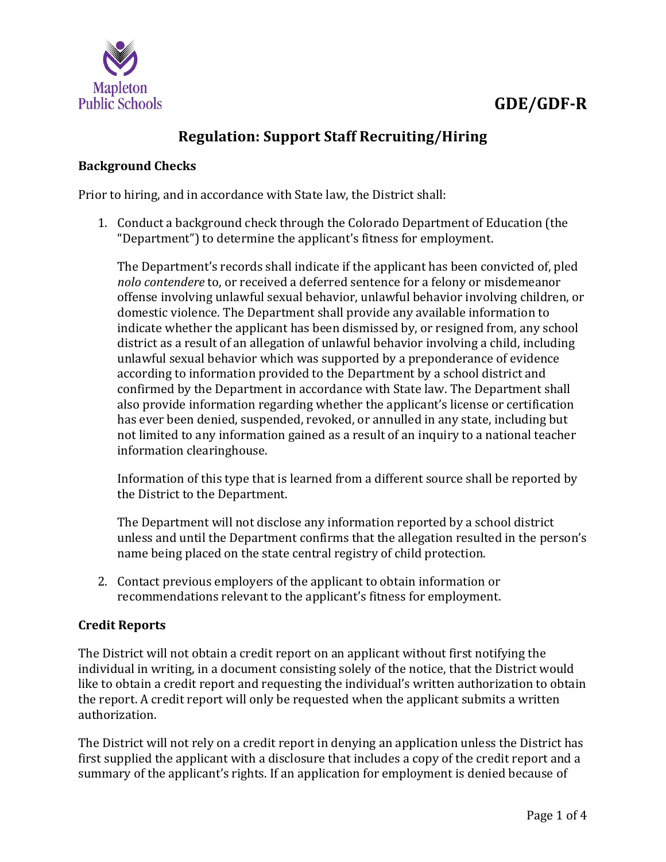

# **GDE/GDF-R**

## **Regulation: Support Staff Recruiting/Hiring**

### **Background Checks**

Prior to hiring, and in accordance with State law, the District shall:

1. Conduct a background check through the Colorado Department of Education (the "Department") to determine the applicant's fitness for employment.

The Department's records shall indicate if the applicant has been convicted of, pled *nolo contendere* to, or received a deferred sentence for a felony or misdemeanor offense involving unlawful sexual behavior, unlawful behavior involving children, or domestic violence. The Department shall provide any available information to indicate whether the applicant has been dismissed by, or resigned from, any school district as a result of an allegation of unlawful behavior involving a child, including unlawful sexual behavior which was supported by a preponderance of evidence according to information provided to the Department by a school district and confirmed by the Department in accordance with State law. The Department shall also provide information regarding whether the applicant's license or certification has ever been denied, suspended, revoked, or annulled in any state, including but not limited to any information gained as a result of an inquiry to a national teacher information clearinghouse.

Information of this type that is learned from a different source shall be reported by the District to the Department.

The Department will not disclose any information reported by a school district unless and until the Department confirms that the allegation resulted in the person's name being placed on the state central registry of child protection.

2. Contact previous employers of the applicant to obtain information or recommendations relevant to the applicant's fitness for employment.

### **Credit Reports**

The District will not obtain a credit report on an applicant without first notifying the individual in writing, in a document consisting solely of the notice, that the District would like to obtain a credit report and requesting the individual's written authorization to obtain the report. A credit report will only be requested when the applicant submits a written authorization.

The District will not rely on a credit report in denying an application unless the District has first supplied the applicant with a disclosure that includes a copy of the credit report and a summary of the applicant's rights. If an application for employment is denied because of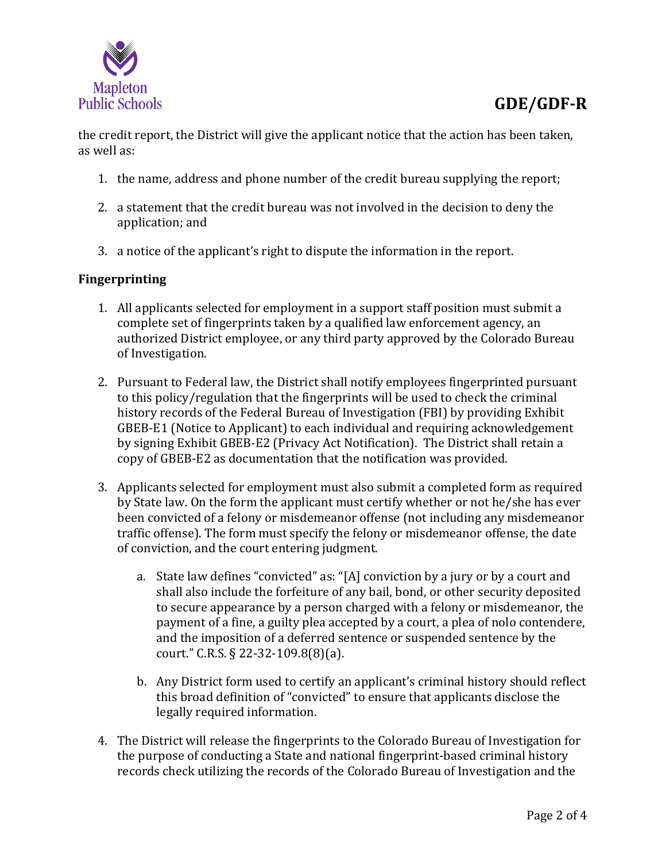

the credit report, the District will give the applicant notice that the action has been taken, as well as:

- 1. the name, address and phone number of the credit bureau supplying the report;
- 2. a statement that the credit bureau was not involved in the decision to deny the application; and
- 3. a notice of the applicant's right to dispute the information in the report.

### **Fingerprinting**

- 1. All applicants selected for employment in a support staff position must submit a complete set of fingerprints taken by a qualified law enforcement agency, an authorized District employee, or any third party approved by the Colorado Bureau of Investigation.
- 2. Pursuant to Federal law, the District shall notify employees fingerprinted pursuant to this policy/regulation that the fingerprints will be used to check the criminal history records of the Federal Bureau of Investigation (FBI) by providing Exhibit GBEB-E1 (Notice to Applicant) to each individual and requiring acknowledgement by signing Exhibit GBEB-E2 (Privacy Act Notification). The District shall retain a copy of GBEB-E2 as documentation that the notification was provided.
- 3. Applicants selected for employment must also submit a completed form as required by State law. On the form the applicant must certify whether or not he/she has ever been convicted of a felony or misdemeanor offense (not including any misdemeanor traffic offense). The form must specify the felony or misdemeanor offense, the date of conviction, and the court entering judgment.
	- a. State law defines "convicted" as: "[A] conviction by a jury or by a court and shall also include the forfeiture of any bail, bond, or other security deposited to secure appearance by a person charged with a felony or misdemeanor, the payment of a fine, a guilty plea accepted by a court, a plea of nolo contendere, and the imposition of a deferred sentence or suspended sentence by the court." C.R.S. § 22-32-109.8(8)(a).
	- b. Any District form used to certify an applicant's criminal history should reflect this broad definition of "convicted" to ensure that applicants disclose the legally required information.
- 4. The District will release the fingerprints to the Colorado Bureau of Investigation for the purpose of conducting a State and national fingerprint-based criminal history records check utilizing the records of the Colorado Bureau of Investigation and the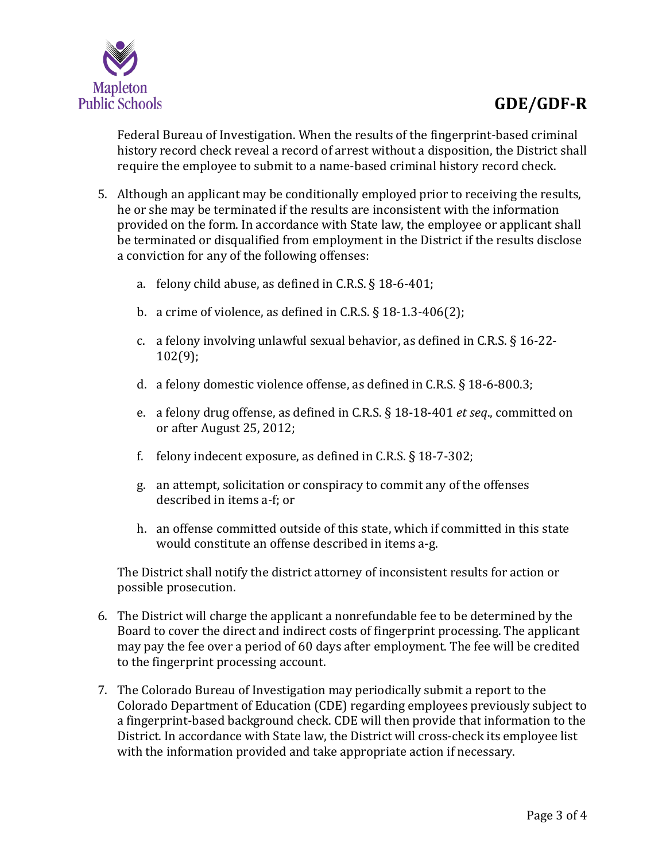

Federal Bureau of Investigation. When the results of the fingerprint-based criminal history record check reveal a record of arrest without a disposition, the District shall require the employee to submit to a name-based criminal history record check.

- 5. Although an applicant may be conditionally employed prior to receiving the results, he or she may be terminated if the results are inconsistent with the information provided on the form. In accordance with State law, the employee or applicant shall be terminated or disqualified from employment in the District if the results disclose a conviction for any of the following offenses:
	- a. felony child abuse, as defined in C.R.S. § 18-6-401;
	- b. a crime of violence, as defined in C.R.S. § 18-1.3-406(2);
	- c. a felony involving unlawful sexual behavior, as defined in C.R.S. § 16-22- 102(9);
	- d. a felony domestic violence offense, as defined in C.R.S. § 18-6-800.3;
	- e. a felony drug offense, as defined in C.R.S. § 18-18-401 *et seq*., committed on or after August 25, 2012;
	- f. felony indecent exposure, as defined in C.R.S. § 18-7-302;
	- g. an attempt, solicitation or conspiracy to commit any of the offenses described in items a-f; or
	- h. an offense committed outside of this state, which if committed in this state would constitute an offense described in items a-g.

The District shall notify the district attorney of inconsistent results for action or possible prosecution.

- 6. The District will charge the applicant a nonrefundable fee to be determined by the Board to cover the direct and indirect costs of fingerprint processing. The applicant may pay the fee over a period of 60 days after employment. The fee will be credited to the fingerprint processing account.
- 7. The Colorado Bureau of Investigation may periodically submit a report to the Colorado Department of Education (CDE) regarding employees previously subject to a fingerprint-based background check. CDE will then provide that information to the District. In accordance with State law, the District will cross-check its employee list with the information provided and take appropriate action if necessary.